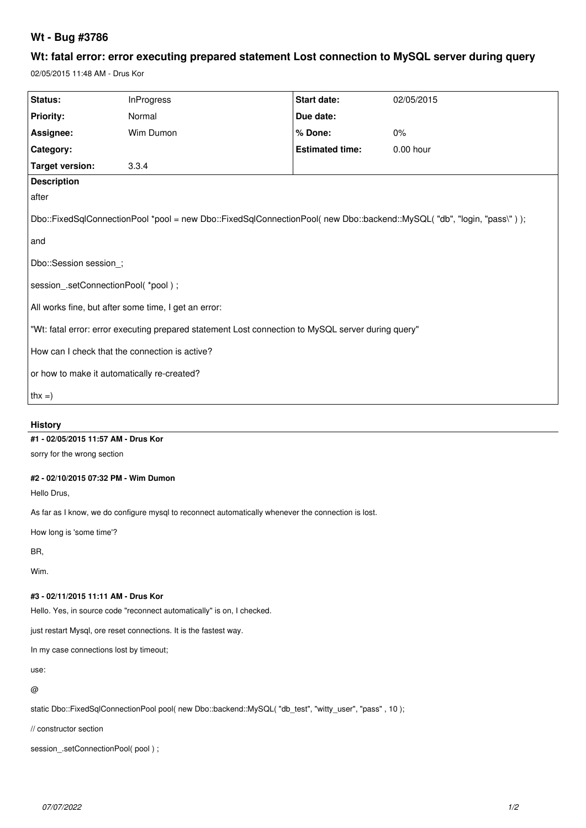# **Wt - Bug #3786**

# **Wt: fatal error: error executing prepared statement Lost connection to MySQL server during query**

02/05/2015 11:48 AM - Drus Kor

| Status:                                                                                                                | <b>InProgress</b> | Start date:            | 02/05/2015 |  |  |
|------------------------------------------------------------------------------------------------------------------------|-------------------|------------------------|------------|--|--|
| Priority:                                                                                                              | Normal            | Due date:              |            |  |  |
| Assignee:                                                                                                              | Wim Dumon         | % Done:                | $0\%$      |  |  |
| Category:                                                                                                              |                   | <b>Estimated time:</b> | 0.00 hour  |  |  |
| <b>Target version:</b>                                                                                                 | 3.3.4             |                        |            |  |  |
| <b>Description</b>                                                                                                     |                   |                        |            |  |  |
| after                                                                                                                  |                   |                        |            |  |  |
| Dbo::FixedSqlConnectionPool *pool = new Dbo::FixedSqlConnectionPool( new Dbo::backend::MySQL( "db", "login, "pass\")); |                   |                        |            |  |  |
| and                                                                                                                    |                   |                        |            |  |  |
| Dbo::Session session;                                                                                                  |                   |                        |            |  |  |
| session_.setConnectionPool( *pool);                                                                                    |                   |                        |            |  |  |
| All works fine, but after some time, I get an error:                                                                   |                   |                        |            |  |  |
| "Wt: fatal error: error executing prepared statement Lost connection to MySQL server during query"                     |                   |                        |            |  |  |
| How can I check that the connection is active?                                                                         |                   |                        |            |  |  |
| or how to make it automatically re-created?                                                                            |                   |                        |            |  |  |
| $ $ thx =)                                                                                                             |                   |                        |            |  |  |
| <b>History</b>                                                                                                         |                   |                        |            |  |  |
| #1 - 02/05/2015 11:57 AM - Drus Kor                                                                                    |                   |                        |            |  |  |
| sorry for the wrong section                                                                                            |                   |                        |            |  |  |

#### **#2 - 02/10/2015 07:32 PM - Wim Dumon**

Hello Drus,

As far as I know, we do configure mysql to reconnect automatically whenever the connection is lost.

How long is 'some time'?

BR,

Wim.

#### **#3 - 02/11/2015 11:11 AM - Drus Kor**

Hello. Yes, in source code "reconnect automatically" is on, I checked.

just restart Mysql, ore reset connections. It is the fastest way.

In my case connections lost by timeout;

use:

@

static Dbo::FixedSqlConnectionPool pool( new Dbo::backend::MySQL( "db\_test", "witty\_user", "pass" , 10 );

// constructor section

session\_.setConnectionPool(pool);